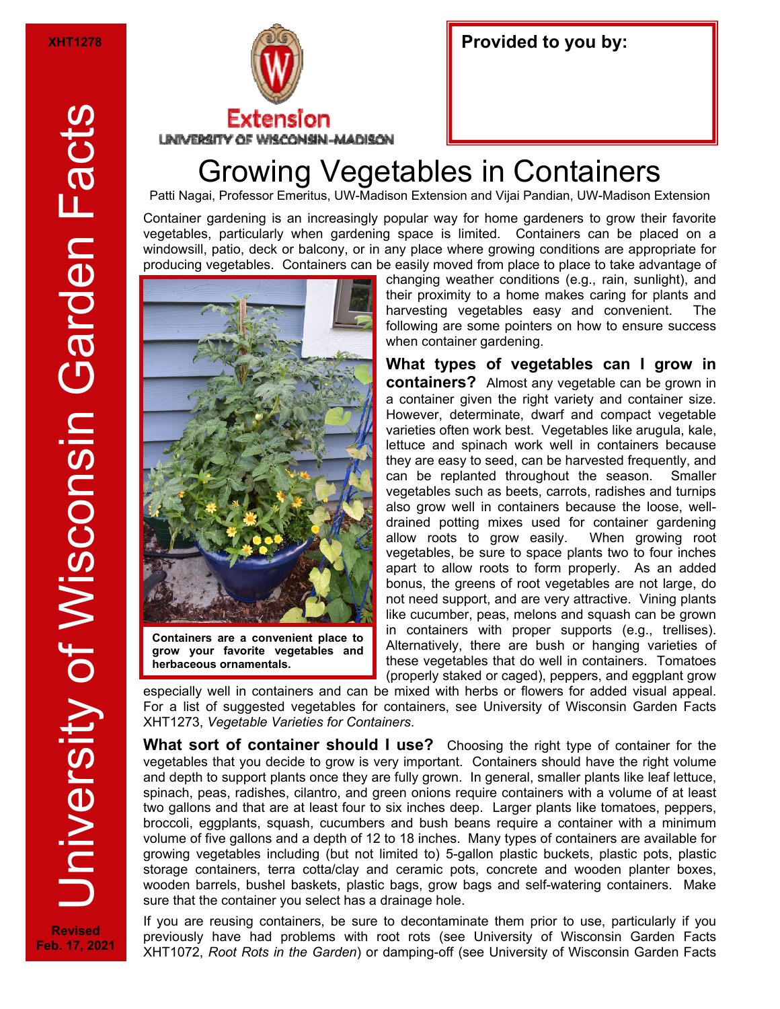

| Provided to you by: |  |  |  |
|---------------------|--|--|--|
|---------------------|--|--|--|

## Growing Vegetables in Containers

Patti Nagai, Professor Emeritus, UW-Madison Extension and Vijai Pandian, UW-Madison Extension

Container gardening is an increasingly popular way for home gardeners to grow their favorite vegetables, particularly when gardening space is limited. Containers can be placed on a windowsill, patio, deck or balcony, or in any place where growing conditions are appropriate for producing vegetables. Containers can be easily moved from place to place to take advantage of



**Containers are a convenient place to grow your favorite vegetables and herbaceous ornamentals.** 

changing weather conditions (e.g., rain, sunlight), and their proximity to a home makes caring for plants and harvesting vegetables easy and convenient. The following are some pointers on how to ensure success when container gardening.

**What types of vegetables can I grow in containers?** Almost any vegetable can be grown in a container given the right variety and container size. However, determinate, dwarf and compact vegetable varieties often work best. Vegetables like arugula, kale, lettuce and spinach work well in containers because they are easy to seed, can be harvested frequently, and can be replanted throughout the season. Smaller vegetables such as beets, carrots, radishes and turnips also grow well in containers because the loose, welldrained potting mixes used for container gardening allow roots to grow easily. When growing root vegetables, be sure to space plants two to four inches apart to allow roots to form properly. As an added bonus, the greens of root vegetables are not large, do not need support, and are very attractive. Vining plants like cucumber, peas, melons and squash can be grown in containers with proper supports (e.g., trellises). Alternatively, there are bush or hanging varieties of these vegetables that do well in containers. Tomatoes (properly staked or caged), peppers, and eggplant grow

especially well in containers and can be mixed with herbs or flowers for added visual appeal. For a list of suggested vegetables for containers, see University of Wisconsin Garden Facts XHT1273, *Vegetable Varieties for Containers*.

**What sort of container should I use?** Choosing the right type of container for the vegetables that you decide to grow is very important. Containers should have the right volume and depth to support plants once they are fully grown. In general, smaller plants like leaf lettuce, spinach, peas, radishes, cilantro, and green onions require containers with a volume of at least two gallons and that are at least four to six inches deep. Larger plants like tomatoes, peppers, broccoli, eggplants, squash, cucumbers and bush beans require a container with a minimum volume of five gallons and a depth of 12 to 18 inches. Many types of containers are available for growing vegetables including (but not limited to) 5-gallon plastic buckets, plastic pots, plastic storage containers, terra cotta/clay and ceramic pots, concrete and wooden planter boxes, wooden barrels, bushel baskets, plastic bags, grow bags and self-watering containers. Make sure that the container you select has a drainage hole.

If you are reusing containers, be sure to decontaminate them prior to use, particularly if you previously have had problems with root rots (see University of Wisconsin Garden Facts XHT1072, *Root Rots in the Garden*) or damping-off (see University of Wisconsin Garden Facts